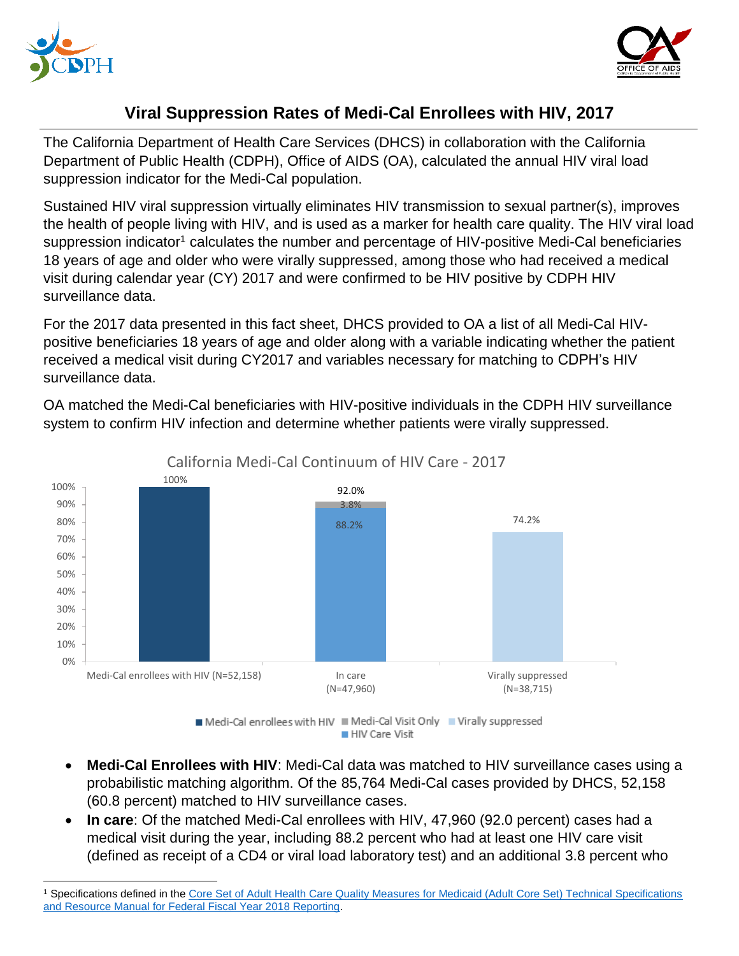



## **Viral Suppression Rates of Medi-Cal Enrollees with HIV, 2017**

The California Department of Health Care Services (DHCS) in collaboration with the California Department of Public Health (CDPH), Office of AIDS (OA), calculated the annual HIV viral load suppression indicator for the Medi-Cal population.

Sustained HIV viral suppression virtually eliminates HIV transmission to sexual partner(s), improves the health of people living with HIV, and is used as a marker for health care quality. The HIV viral load suppression indicator<sup>1</sup> calculates the number and percentage of HIV-positive Medi-Cal beneficiaries 18 years of age and older who were virally suppressed, among those who had received a medical visit during calendar year (CY) 2017 and were confirmed to be HIV positive by CDPH HIV surveillance data.

For the 2017 data presented in this fact sheet, DHCS provided to OA a list of all Medi-Cal HIVpositive beneficiaries 18 years of age and older along with a variable indicating whether the patient received a medical visit during CY2017 and variables necessary for matching to CDPH's HIV surveillance data.

OA matched the Medi-Cal beneficiaries with HIV-positive individuals in the CDPH HIV surveillance system to confirm HIV infection and determine whether patients were virally suppressed.



California Medi-Cal Continuum of HIV Care - 2017

Medi-Cal enrollees with HIV Medi-Cal Visit Only Virally suppressed HIV Care Visit

- **Medi-Cal Enrollees with HIV**: Medi-Cal data was matched to HIV surveillance cases using a probabilistic matching algorithm. Of the 85,764 Medi-Cal cases provided by DHCS, 52,158 (60.8 percent) matched to HIV surveillance cases.
- **In care**: Of the matched Medi-Cal enrollees with HIV, 47,960 (92.0 percent) cases had a medical visit during the year, including 88.2 percent who had at least one HIV care visit (defined as receipt of a CD4 or viral load laboratory test) and an additional 3.8 percent who

 $\overline{\phantom{a}}$ <sup>1</sup> Specifications defined in the [Core Set of Adult Health Care Quality Measures for Medicaid \(Adult Core Set\) Technical Specifications](https://www.medicaid.gov/medicaid/quality-of-care/downloads/medicaid-adult-core-set-manual.pdf)  [and Resource Manual for Federal Fiscal Year 2018 Reporting.](https://www.medicaid.gov/medicaid/quality-of-care/downloads/medicaid-adult-core-set-manual.pdf)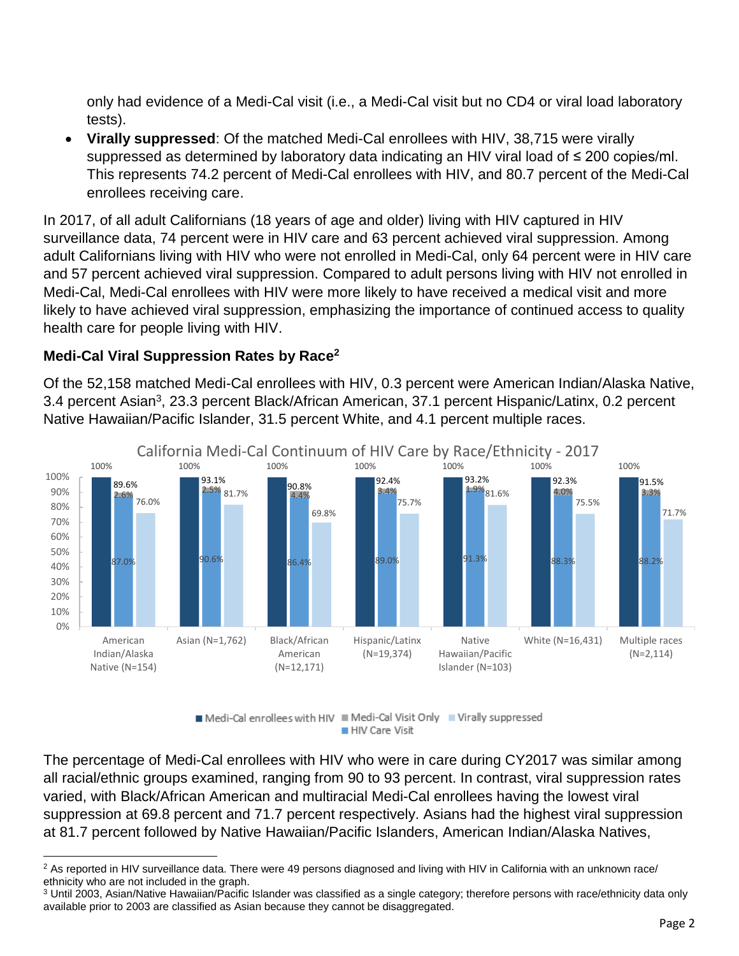only had evidence of a Medi-Cal visit (i.e., a Medi-Cal visit but no CD4 or viral load laboratory tests).

 **Virally suppressed**: Of the matched Medi-Cal enrollees with HIV, 38,715 were virally suppressed as determined by laboratory data indicating an HIV viral load of ≤ 200 copies/ml. This represents 74.2 percent of Medi-Cal enrollees with HIV, and 80.7 percent of the Medi-Cal enrollees receiving care.

In 2017, of all adult Californians (18 years of age and older) living with HIV captured in HIV surveillance data, 74 percent were in HIV care and 63 percent achieved viral suppression. Among adult Californians living with HIV who were not enrolled in Medi-Cal, only 64 percent were in HIV care and 57 percent achieved viral suppression. Compared to adult persons living with HIV not enrolled in Medi-Cal, Medi-Cal enrollees with HIV were more likely to have received a medical visit and more likely to have achieved viral suppression, emphasizing the importance of continued access to quality health care for people living with HIV.

## **Medi-Cal Viral Suppression Rates by Race<sup>2</sup>**

Of the 52,158 matched Medi-Cal enrollees with HIV, 0.3 percent were American Indian/Alaska Native, 3.4 percent Asian<sup>3</sup>, 23.3 percent Black/African American, 37.1 percent Hispanic/Latinx, 0.2 percent Native Hawaiian/Pacific Islander, 31.5 percent White, and 4.1 percent multiple races.



Medi-Cal enrollees with HIV Medi-Cal Visit Only Virally suppressed HIV Care Visit

The percentage of Medi-Cal enrollees with HIV who were in care during CY2017 was similar among all racial/ethnic groups examined, ranging from 90 to 93 percent. In contrast, viral suppression rates varied, with Black/African American and multiracial Medi-Cal enrollees having the lowest viral suppression at 69.8 percent and 71.7 percent respectively. Asians had the highest viral suppression at 81.7 percent followed by Native Hawaiian/Pacific Islanders, American Indian/Alaska Natives,

 $\overline{a}$ <sup>2</sup> As reported in HIV surveillance data. There were 49 persons diagnosed and living with HIV in California with an unknown race/ ethnicity who are not included in the graph.

<sup>&</sup>lt;sup>3</sup> Until 2003, Asian/Native Hawaiian/Pacific Islander was classified as a single category; therefore persons with race/ethnicity data only available prior to 2003 are classified as Asian because they cannot be disaggregated.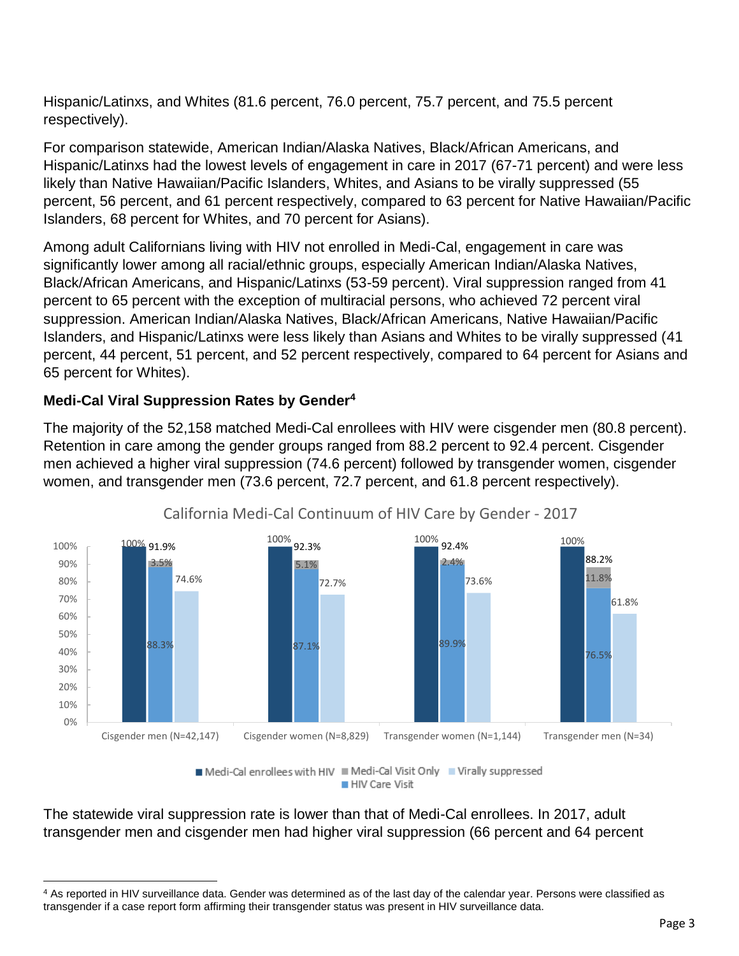Hispanic/Latinxs, and Whites (81.6 percent, 76.0 percent, 75.7 percent, and 75.5 percent respectively).

For comparison statewide, American Indian/Alaska Natives, Black/African Americans, and Hispanic/Latinxs had the lowest levels of engagement in care in 2017 (67-71 percent) and were less likely than Native Hawaiian/Pacific Islanders, Whites, and Asians to be virally suppressed (55 percent, 56 percent, and 61 percent respectively, compared to 63 percent for Native Hawaiian/Pacific Islanders, 68 percent for Whites, and 70 percent for Asians).

Among adult Californians living with HIV not enrolled in Medi-Cal, engagement in care was significantly lower among all racial/ethnic groups, especially American Indian/Alaska Natives, Black/African Americans, and Hispanic/Latinxs (53-59 percent). Viral suppression ranged from 41 percent to 65 percent with the exception of multiracial persons, who achieved 72 percent viral suppression. American Indian/Alaska Natives, Black/African Americans, Native Hawaiian/Pacific Islanders, and Hispanic/Latinxs were less likely than Asians and Whites to be virally suppressed (41 percent, 44 percent, 51 percent, and 52 percent respectively, compared to 64 percent for Asians and 65 percent for Whites).

## **Medi-Cal Viral Suppression Rates by Gender<sup>4</sup>**

The majority of the 52,158 matched Medi-Cal enrollees with HIV were cisgender men (80.8 percent). Retention in care among the gender groups ranged from 88.2 percent to 92.4 percent. Cisgender men achieved a higher viral suppression (74.6 percent) followed by transgender women, cisgender women, and transgender men (73.6 percent, 72.7 percent, and 61.8 percent respectively).



## California Medi-Cal Continuum of HIV Care by Gender - 2017

Medi-Cal enrollees with HIV Medi-Cal Visit Only Virally suppressed HIV Care Visit

The statewide viral suppression rate is lower than that of Medi-Cal enrollees. In 2017, adult transgender men and cisgender men had higher viral suppression (66 percent and 64 percent

 $\overline{\phantom{a}}$ <sup>4</sup> As reported in HIV surveillance data. Gender was determined as of the last day of the calendar year. Persons were classified as transgender if a case report form affirming their transgender status was present in HIV surveillance data.